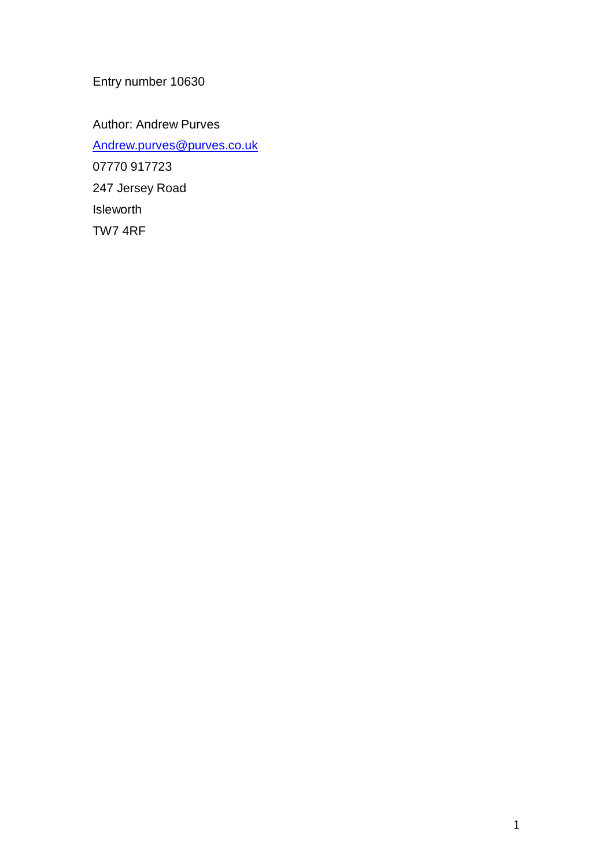Entry number 10630

Author: Andrew Purves [Andrew.purves@purves.co.uk](mailto:Andrew.purves@purves.co.uk) 07770 917723 247 Jersey Road Isleworth TW7 4RF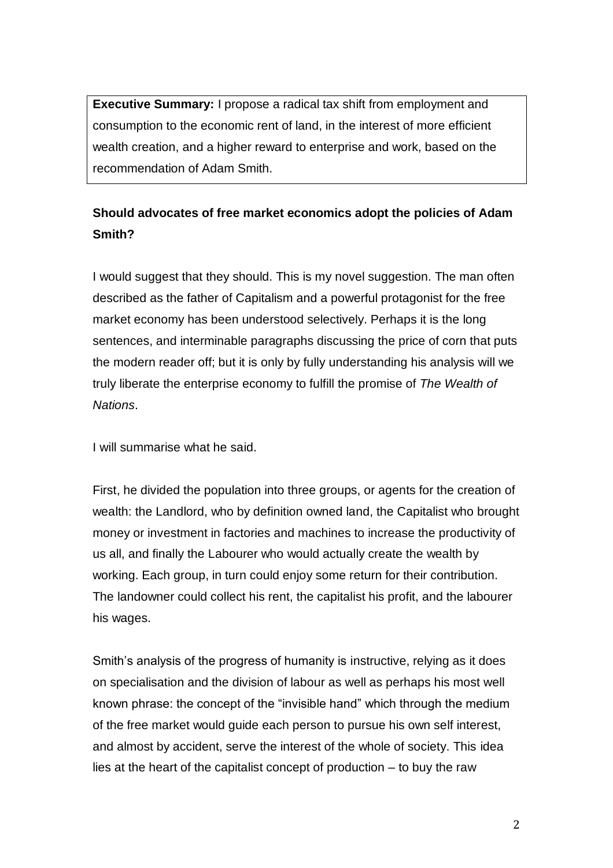**Executive Summary:** I propose a radical tax shift from employment and consumption to the economic rent of land, in the interest of more efficient wealth creation, and a higher reward to enterprise and work, based on the recommendation of Adam Smith.

## **Should advocates of free market economics adopt the policies of Adam Smith?**

I would suggest that they should. This is my novel suggestion. The man often described as the father of Capitalism and a powerful protagonist for the free market economy has been understood selectively. Perhaps it is the long sentences, and interminable paragraphs discussing the price of corn that puts the modern reader off; but it is only by fully understanding his analysis will we truly liberate the enterprise economy to fulfill the promise of *The Wealth of Nations*.

I will summarise what he said.

First, he divided the population into three groups, or agents for the creation of wealth: the Landlord, who by definition owned land, the Capitalist who brought money or investment in factories and machines to increase the productivity of us all, and finally the Labourer who would actually create the wealth by working. Each group, in turn could enjoy some return for their contribution. The landowner could collect his rent, the capitalist his profit, and the labourer his wages.

Smith's analysis of the progress of humanity is instructive, relying as it does on specialisation and the division of labour as well as perhaps his most well known phrase: the concept of the "invisible hand" which through the medium of the free market would guide each person to pursue his own self interest, and almost by accident, serve the interest of the whole of society. This idea lies at the heart of the capitalist concept of production – to buy the raw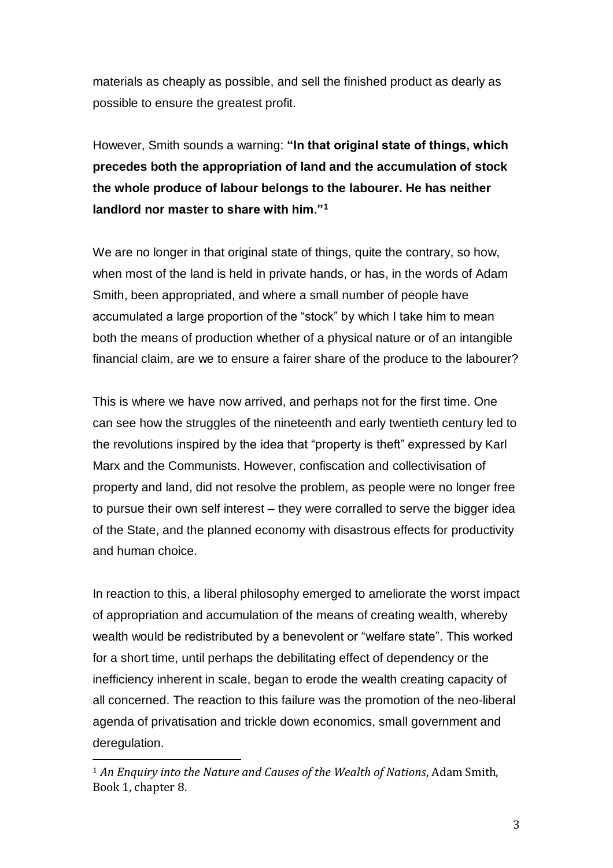materials as cheaply as possible, and sell the finished product as dearly as possible to ensure the greatest profit.

However, Smith sounds a warning: **"In that original state of things, which precedes both the appropriation of land and the accumulation of stock the whole produce of labour belongs to the labourer. He has neither landlord nor master to share with him."<sup>1</sup>**

We are no longer in that original state of things, quite the contrary, so how, when most of the land is held in private hands, or has, in the words of Adam Smith, been appropriated, and where a small number of people have accumulated a large proportion of the "stock" by which I take him to mean both the means of production whether of a physical nature or of an intangible financial claim, are we to ensure a fairer share of the produce to the labourer?

This is where we have now arrived, and perhaps not for the first time. One can see how the struggles of the nineteenth and early twentieth century led to the revolutions inspired by the idea that "property is theft" expressed by Karl Marx and the Communists. However, confiscation and collectivisation of property and land, did not resolve the problem, as people were no longer free to pursue their own self interest – they were corralled to serve the bigger idea of the State, and the planned economy with disastrous effects for productivity and human choice.

In reaction to this, a liberal philosophy emerged to ameliorate the worst impact of appropriation and accumulation of the means of creating wealth, whereby wealth would be redistributed by a benevolent or "welfare state". This worked for a short time, until perhaps the debilitating effect of dependency or the inefficiency inherent in scale, began to erode the wealth creating capacity of all concerned. The reaction to this failure was the promotion of the neo-liberal agenda of privatisation and trickle down economics, small government and deregulation.

 $\overline{\phantom{a}}$ 

<sup>1</sup> *An Enquiry into the Nature and Causes of the Wealth of Nations*, Adam Smith, Book 1, chapter 8.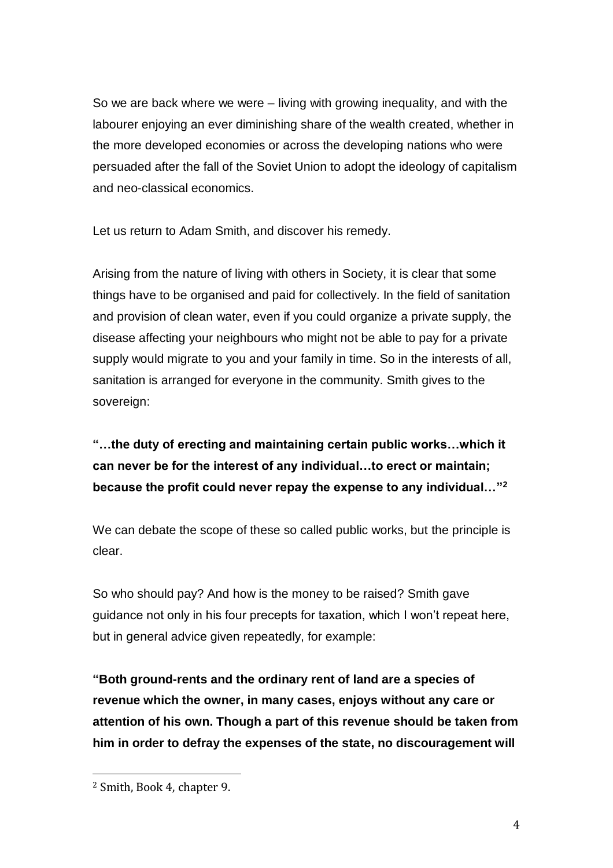So we are back where we were – living with growing inequality, and with the labourer enjoying an ever diminishing share of the wealth created, whether in the more developed economies or across the developing nations who were persuaded after the fall of the Soviet Union to adopt the ideology of capitalism and neo-classical economics.

Let us return to Adam Smith, and discover his remedy.

Arising from the nature of living with others in Society, it is clear that some things have to be organised and paid for collectively. In the field of sanitation and provision of clean water, even if you could organize a private supply, the disease affecting your neighbours who might not be able to pay for a private supply would migrate to you and your family in time. So in the interests of all, sanitation is arranged for everyone in the community. Smith gives to the sovereign:

## **"…the duty of erecting and maintaining certain public works…which it can never be for the interest of any individual…to erect or maintain; because the profit could never repay the expense to any individual…" 2**

We can debate the scope of these so called public works, but the principle is clear.

So who should pay? And how is the money to be raised? Smith gave guidance not only in his four precepts for taxation, which I won't repeat here, but in general advice given repeatedly, for example:

**"Both ground-rents and the ordinary rent of land are a species of revenue which the owner, in many cases, enjoys without any care or attention of his own. Though a part of this revenue should be taken from him in order to defray the expenses of the state, no discouragement will** 

 $\overline{a}$ 

<sup>2</sup> Smith, Book 4, chapter 9.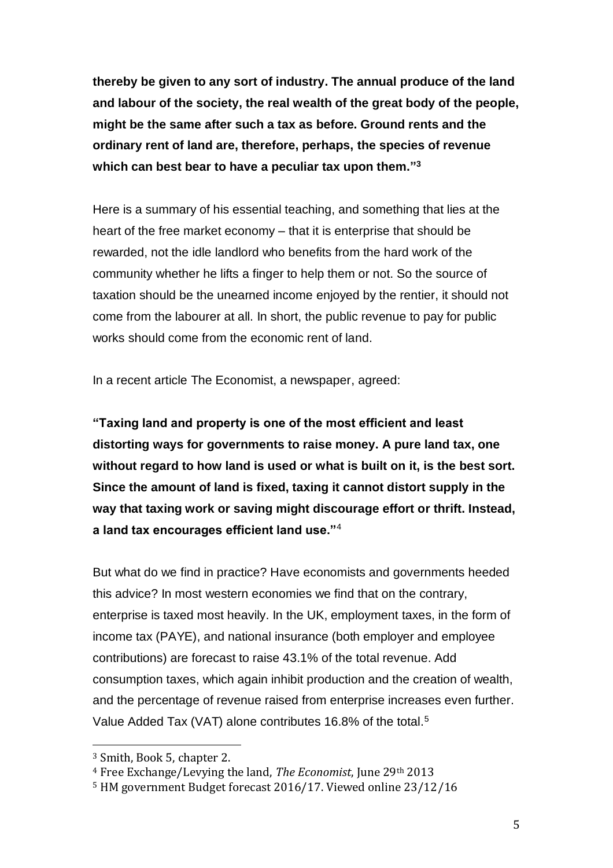**thereby be given to any sort of industry. The annual produce of the land and labour of the society, the real wealth of the great body of the people, might be the same after such a tax as before. Ground rents and the ordinary rent of land are, therefore, perhaps, the species of revenue which can best bear to have a peculiar tax upon them." 3**

Here is a summary of his essential teaching, and something that lies at the heart of the free market economy – that it is enterprise that should be rewarded, not the idle landlord who benefits from the hard work of the community whether he lifts a finger to help them or not. So the source of taxation should be the unearned income enjoyed by the rentier, it should not come from the labourer at all. In short, the public revenue to pay for public works should come from the economic rent of land.

In a recent article The Economist, a newspaper, agreed:

**"Taxing land and property is one of the most efficient and least distorting ways for governments to raise money. A pure land tax, one without regard to how land is used or what is built on it, is the best sort. Since the amount of land is fixed, taxing it cannot distort supply in the way that taxing work or saving might discourage effort or thrift. Instead, a land tax encourages efficient land use."**<sup>4</sup>

But what do we find in practice? Have economists and governments heeded this advice? In most western economies we find that on the contrary, enterprise is taxed most heavily. In the UK, employment taxes, in the form of income tax (PAYE), and national insurance (both employer and employee contributions) are forecast to raise 43.1% of the total revenue. Add consumption taxes, which again inhibit production and the creation of wealth, and the percentage of revenue raised from enterprise increases even further. Value Added Tax (VAT) alone contributes 16.8% of the total.<sup>5</sup>

 $\overline{a}$ 

<sup>3</sup> Smith, Book 5, chapter 2.

<sup>4</sup> Free Exchange/Levying the land, *The Economist*, June 29th 2013

<sup>5</sup> HM government Budget forecast 2016/17. Viewed online 23/12/16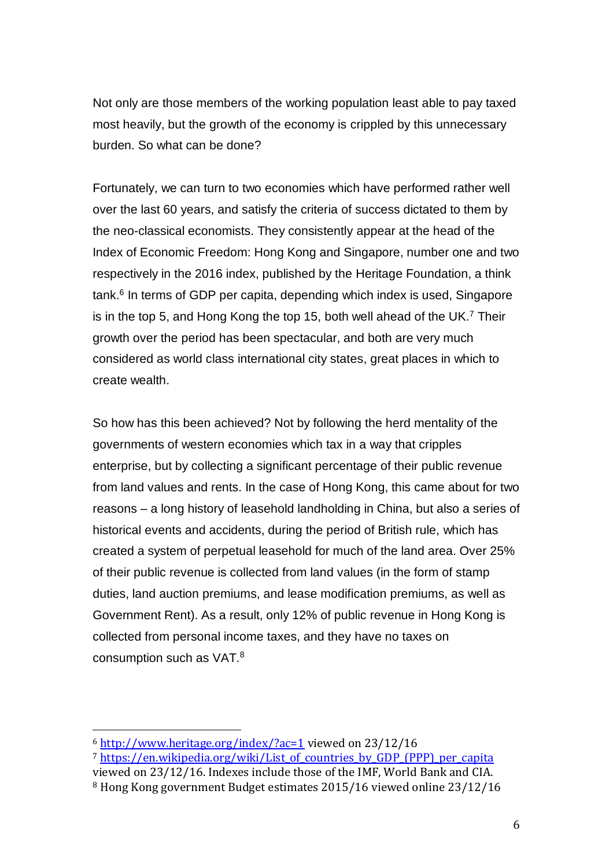Not only are those members of the working population least able to pay taxed most heavily, but the growth of the economy is crippled by this unnecessary burden. So what can be done?

Fortunately, we can turn to two economies which have performed rather well over the last 60 years, and satisfy the criteria of success dictated to them by the neo-classical economists. They consistently appear at the head of the Index of Economic Freedom: Hong Kong and Singapore, number one and two respectively in the 2016 index, published by the Heritage Foundation, a think tank.<sup>6</sup> In terms of GDP per capita, depending which index is used, Singapore is in the top 5, and Hong Kong the top 15, both well ahead of the UK.<sup>7</sup> Their growth over the period has been spectacular, and both are very much considered as world class international city states, great places in which to create wealth.

So how has this been achieved? Not by following the herd mentality of the governments of western economies which tax in a way that cripples enterprise, but by collecting a significant percentage of their public revenue from land values and rents. In the case of Hong Kong, this came about for two reasons – a long history of leasehold landholding in China, but also a series of historical events and accidents, during the period of British rule, which has created a system of perpetual leasehold for much of the land area. Over 25% of their public revenue is collected from land values (in the form of stamp duties, land auction premiums, and lease modification premiums, as well as Government Rent). As a result, only 12% of public revenue in Hong Kong is collected from personal income taxes, and they have no taxes on consumption such as VAT. $^8$ 

 $\overline{a}$ 

<sup>6</sup> <http://www.heritage.org/index/?ac=1> viewed on 23/12/16

<sup>7</sup> [https://en.wikipedia.org/wiki/List\\_of\\_countries\\_by\\_GDP\\_\(PPP\)\\_per\\_capita](https://en.wikipedia.org/wiki/List_of_countries_by_GDP_(PPP)_per_capita) viewed on 23/12/16. Indexes include those of the IMF, World Bank and CIA.

<sup>8</sup> Hong Kong government Budget estimates 2015/16 viewed online 23/12/16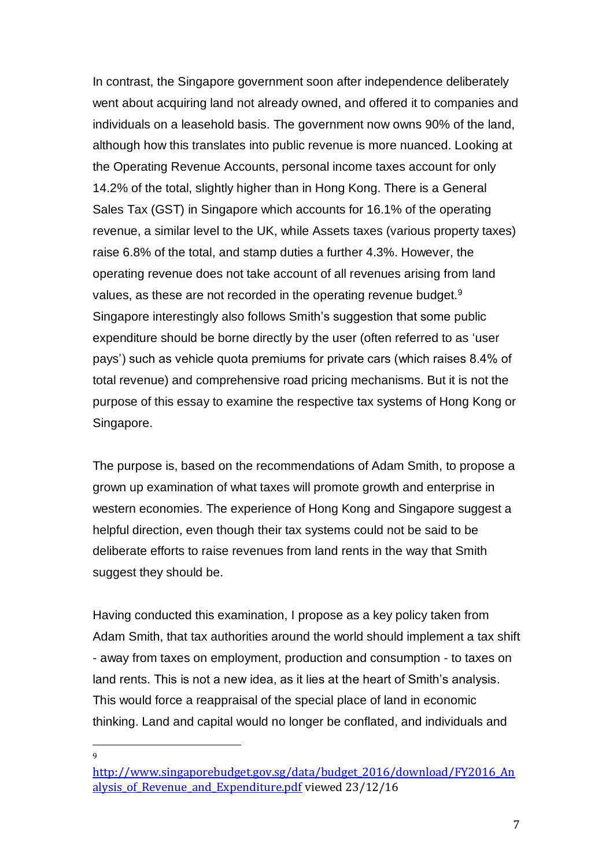In contrast, the Singapore government soon after independence deliberately went about acquiring land not already owned, and offered it to companies and individuals on a leasehold basis. The government now owns 90% of the land, although how this translates into public revenue is more nuanced. Looking at the Operating Revenue Accounts, personal income taxes account for only 14.2% of the total, slightly higher than in Hong Kong. There is a General Sales Tax (GST) in Singapore which accounts for 16.1% of the operating revenue, a similar level to the UK, while Assets taxes (various property taxes) raise 6.8% of the total, and stamp duties a further 4.3%. However, the operating revenue does not take account of all revenues arising from land values, as these are not recorded in the operating revenue budget.<sup>9</sup> Singapore interestingly also follows Smith's suggestion that some public expenditure should be borne directly by the user (often referred to as 'user pays') such as vehicle quota premiums for private cars (which raises 8.4% of total revenue) and comprehensive road pricing mechanisms. But it is not the purpose of this essay to examine the respective tax systems of Hong Kong or Singapore.

The purpose is, based on the recommendations of Adam Smith, to propose a grown up examination of what taxes will promote growth and enterprise in western economies. The experience of Hong Kong and Singapore suggest a helpful direction, even though their tax systems could not be said to be deliberate efforts to raise revenues from land rents in the way that Smith suggest they should be.

Having conducted this examination, I propose as a key policy taken from Adam Smith, that tax authorities around the world should implement a tax shift - away from taxes on employment, production and consumption - to taxes on land rents. This is not a new idea, as it lies at the heart of Smith's analysis. This would force a reappraisal of the special place of land in economic thinking. Land and capital would no longer be conflated, and individuals and

 $\overline{a}$  $\alpha$ 

[http://www.singaporebudget.gov.sg/data/budget\\_2016/download/FY2016\\_An](http://www.singaporebudget.gov.sg/data/budget_2016/download/FY2016_Analysis_of_Revenue_and_Expenditure.pdf) alysis of Revenue and Expenditure.pdf viewed 23/12/16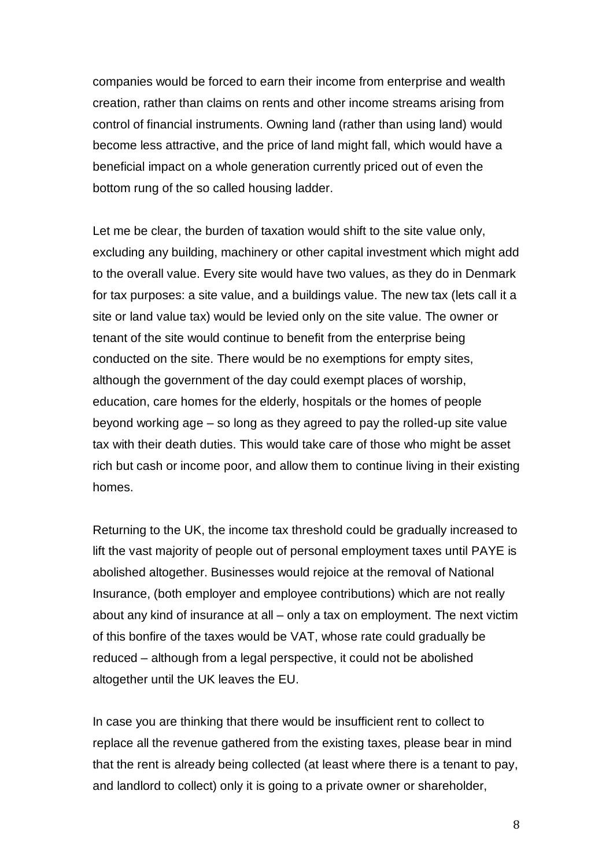companies would be forced to earn their income from enterprise and wealth creation, rather than claims on rents and other income streams arising from control of financial instruments. Owning land (rather than using land) would become less attractive, and the price of land might fall, which would have a beneficial impact on a whole generation currently priced out of even the bottom rung of the so called housing ladder.

Let me be clear, the burden of taxation would shift to the site value only, excluding any building, machinery or other capital investment which might add to the overall value. Every site would have two values, as they do in Denmark for tax purposes: a site value, and a buildings value. The new tax (lets call it a site or land value tax) would be levied only on the site value. The owner or tenant of the site would continue to benefit from the enterprise being conducted on the site. There would be no exemptions for empty sites, although the government of the day could exempt places of worship, education, care homes for the elderly, hospitals or the homes of people beyond working age – so long as they agreed to pay the rolled-up site value tax with their death duties. This would take care of those who might be asset rich but cash or income poor, and allow them to continue living in their existing homes.

Returning to the UK, the income tax threshold could be gradually increased to lift the vast majority of people out of personal employment taxes until PAYE is abolished altogether. Businesses would rejoice at the removal of National Insurance, (both employer and employee contributions) which are not really about any kind of insurance at all – only a tax on employment. The next victim of this bonfire of the taxes would be VAT, whose rate could gradually be reduced – although from a legal perspective, it could not be abolished altogether until the UK leaves the EU.

In case you are thinking that there would be insufficient rent to collect to replace all the revenue gathered from the existing taxes, please bear in mind that the rent is already being collected (at least where there is a tenant to pay, and landlord to collect) only it is going to a private owner or shareholder,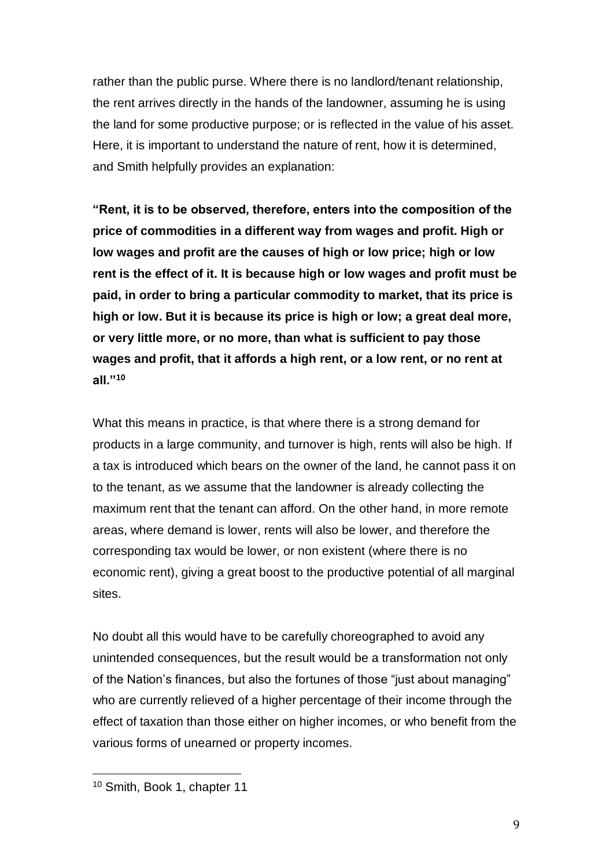rather than the public purse. Where there is no landlord/tenant relationship, the rent arrives directly in the hands of the landowner, assuming he is using the land for some productive purpose; or is reflected in the value of his asset. Here, it is important to understand the nature of rent, how it is determined, and Smith helpfully provides an explanation:

**"Rent, it is to be observed, therefore, enters into the composition of the price of commodities in a different way from wages and profit. High or low wages and profit are the causes of high or low price; high or low rent is the effect of it. It is because high or low wages and profit must be paid, in order to bring a particular commodity to market, that its price is high or low. But it is because its price is high or low; a great deal more, or very little more, or no more, than what is sufficient to pay those wages and profit, that it affords a high rent, or a low rent, or no rent at all."<sup>10</sup>**

What this means in practice, is that where there is a strong demand for products in a large community, and turnover is high, rents will also be high. If a tax is introduced which bears on the owner of the land, he cannot pass it on to the tenant, as we assume that the landowner is already collecting the maximum rent that the tenant can afford. On the other hand, in more remote areas, where demand is lower, rents will also be lower, and therefore the corresponding tax would be lower, or non existent (where there is no economic rent), giving a great boost to the productive potential of all marginal sites.

No doubt all this would have to be carefully choreographed to avoid any unintended consequences, but the result would be a transformation not only of the Nation's finances, but also the fortunes of those "just about managing" who are currently relieved of a higher percentage of their income through the effect of taxation than those either on higher incomes, or who benefit from the various forms of unearned or property incomes.

 $\overline{\phantom{a}}$ 

<sup>10</sup> Smith, Book 1, chapter 11